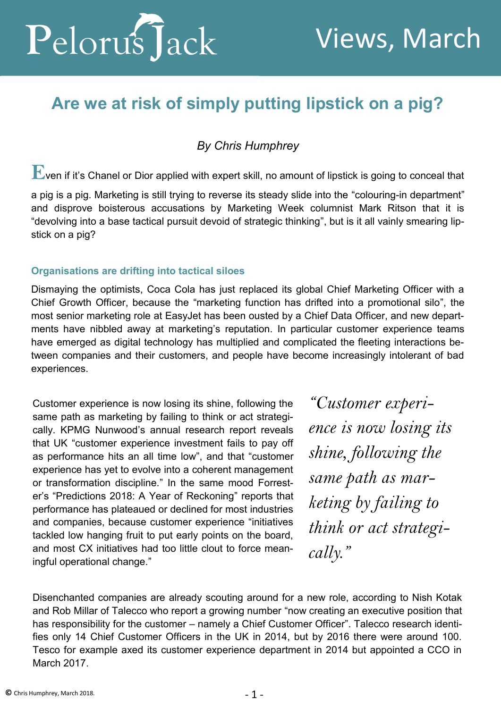

# **Are we at risk of simply putting lipstick on a pig?**

*By Chris Humphrey*

 $\mathbf E$ ven if it's Chanel or Dior applied with expert skill, no amount of lipstick is going to conceal that

a pig is a pig. Marketing is still trying to reverse its steady slide into the "colouring-in department" and disprove boisterous accusations by Marketing Week columnist Mark Ritson that it is "devolving into a base tactical pursuit devoid of strategic thinking", but is it all vainly smearing lipstick on a pig?

## **Organisations are drifting into tactical siloes**

Dismaying the optimists, Coca Cola has just replaced its global Chief Marketing Officer with a Chief Growth Officer, because the "marketing function has drifted into a promotional silo", the most senior marketing role at EasyJet has been ousted by a Chief Data Officer, and new departments have nibbled away at marketing's reputation. In particular customer experience teams have emerged as digital technology has multiplied and complicated the fleeting interactions between companies and their customers, and people have become increasingly intolerant of bad experiences.

Customer experience is now losing its shine, following the same path as marketing by failing to think or act strategically. KPMG Nunwood's annual research report reveals that UK "customer experience investment fails to pay off as performance hits an all time low", and that "customer experience has yet to evolve into a coherent management or transformation discipline." In the same mood Forrester's "Predictions 2018: A Year of Reckoning" reports that performance has plateaued or declined for most industries and companies, because customer experience "initiatives tackled low hanging fruit to put early points on the board, and most CX initiatives had too little clout to force meaningful operational change."

*"Customer experience is now losing its shine, following the same path as marketing by failing to think or act strategically."*

Disenchanted companies are already scouting around for a new role, according to Nish Kotak and Rob Millar of Talecco who report a growing number "now creating an executive position that has responsibility for the customer – namely a Chief Customer Officer". Talecco research identifies only 14 Chief Customer Officers in the UK in 2014, but by 2016 there were around 100. Tesco for example axed its customer experience department in 2014 but appointed a CCO in March 2017.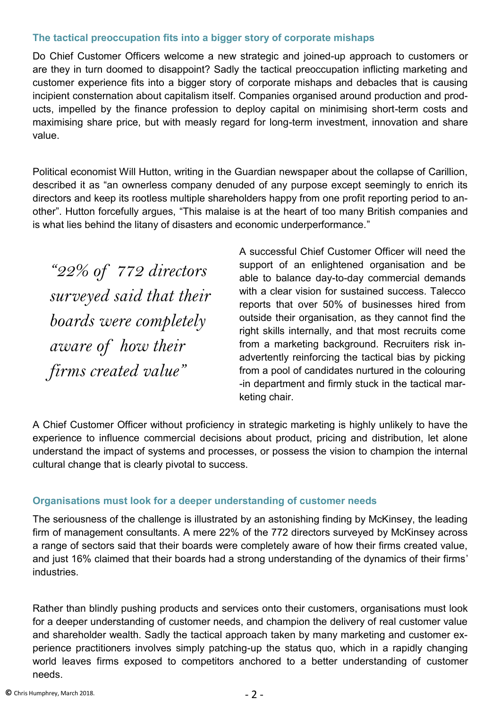### **The tactical preoccupation fits into a bigger story of corporate mishaps**

Do Chief Customer Officers welcome a new strategic and joined-up approach to customers or are they in turn doomed to disappoint? Sadly the tactical preoccupation inflicting marketing and customer experience fits into a bigger story of corporate mishaps and debacles that is causing incipient consternation about capitalism itself. Companies organised around production and products, impelled by the finance profession to deploy capital on minimising short-term costs and maximising share price, but with measly regard for long-term investment, innovation and share value.

Political economist Will Hutton, writing in the Guardian newspaper about the collapse of Carillion, described it as "an ownerless company denuded of any purpose except seemingly to enrich its directors and keep its rootless multiple shareholders happy from one profit reporting period to another". Hutton forcefully argues, "This malaise is at the heart of too many British companies and is what lies behind the litany of disasters and economic underperformance."

*"22% of 772 directors surveyed said that their boards were completely aware of how their firms created value"*

A successful Chief Customer Officer will need the support of an enlightened organisation and be able to balance day-to-day commercial demands with a clear vision for sustained success. Talecco reports that over 50% of businesses hired from outside their organisation, as they cannot find the right skills internally, and that most recruits come from a marketing background. Recruiters risk inadvertently reinforcing the tactical bias by picking from a pool of candidates nurtured in the colouring -in department and firmly stuck in the tactical marketing chair.

A Chief Customer Officer without proficiency in strategic marketing is highly unlikely to have the experience to influence commercial decisions about product, pricing and distribution, let alone understand the impact of systems and processes, or possess the vision to champion the internal cultural change that is clearly pivotal to success.

## **Organisations must look for a deeper understanding of customer needs**

The seriousness of the challenge is illustrated by an astonishing finding by McKinsey, the leading firm of management consultants. A mere 22% of the 772 directors surveyed by McKinsey across a range of sectors said that their boards were completely aware of how their firms created value, and just 16% claimed that their boards had a strong understanding of the dynamics of their firms' industries.

Rather than blindly pushing products and services onto their customers, organisations must look for a deeper understanding of customer needs, and champion the delivery of real customer value and shareholder wealth. Sadly the tactical approach taken by many marketing and customer experience practitioners involves simply patching-up the status quo, which in a rapidly changing world leaves firms exposed to competitors anchored to a better understanding of customer needs.